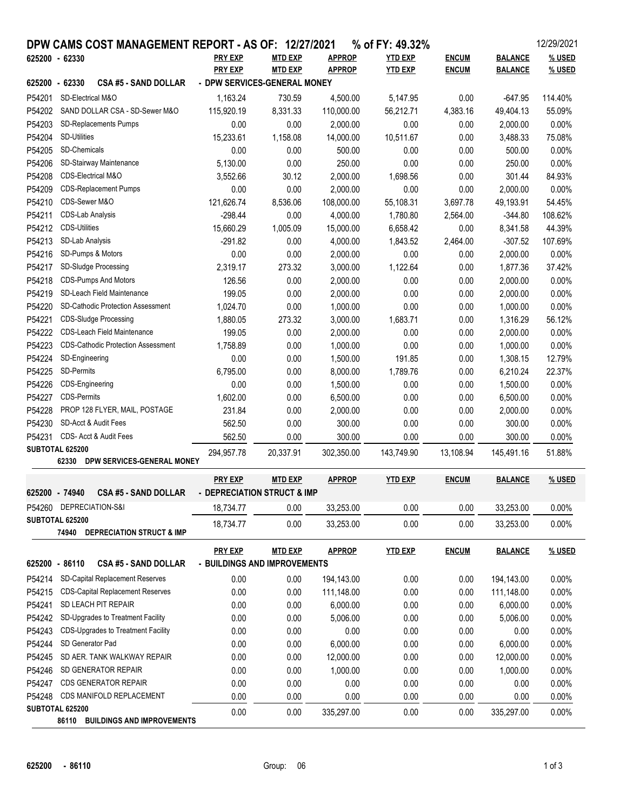|                                                     |                                           | DPW CAMS COST MANAGEMENT REPORT - AS OF: 12/27/2021 |                              |                |               | % of FY: 49.32% |              |                | 12/29/2021 |
|-----------------------------------------------------|-------------------------------------------|-----------------------------------------------------|------------------------------|----------------|---------------|-----------------|--------------|----------------|------------|
| 625200 - 62330                                      |                                           |                                                     | <b>PRY EXP</b>               | <b>MTD EXP</b> | <b>APPROP</b> | <b>YTD EXP</b>  | <b>ENCUM</b> | <b>BALANCE</b> | % USED     |
|                                                     |                                           |                                                     | <b>PRY EXP</b>               | <b>MTD EXP</b> | <b>APPROP</b> | <b>YTD EXP</b>  | <b>ENCUM</b> | <b>BALANCE</b> | % USED     |
| 625200 - 62330                                      |                                           | <b>CSA #5 - SAND DOLLAR</b>                         | - DPW SERVICES-GENERAL MONEY |                |               |                 |              |                |            |
| P54201                                              | SD-Electrical M&O                         |                                                     | 1,163.24                     | 730.59         | 4,500.00      | 5,147.95        | 0.00         | $-647.95$      | 114.40%    |
| P54202                                              | SAND DOLLAR CSA - SD-Sewer M&O            |                                                     | 115,920.19                   | 8,331.33       | 110,000.00    | 56,212.71       | 4,383.16     | 49,404.13      | 55.09%     |
| P54203                                              | SD-Replacements Pumps                     |                                                     | 0.00                         | 0.00           | 2,000.00      | 0.00            | 0.00         | 2,000.00       | 0.00%      |
| P54204                                              | <b>SD-Utilities</b>                       |                                                     | 15,233.61                    | 1,158.08       | 14,000.00     | 10,511.67       | 0.00         | 3,488.33       | 75.08%     |
| P54205                                              | SD-Chemicals                              |                                                     | 0.00                         | 0.00           | 500.00        | 0.00            | 0.00         | 500.00         | 0.00%      |
| P54206                                              |                                           | SD-Stairway Maintenance                             | 5,130.00                     | 0.00           | 250.00        | 0.00            | 0.00         | 250.00         | 0.00%      |
| P54208                                              | CDS-Electrical M&O                        |                                                     | 3,552.66                     | 30.12          | 2,000.00      | 1,698.56        | 0.00         | 301.44         | 84.93%     |
| P54209                                              | <b>CDS-Replacement Pumps</b>              |                                                     | 0.00                         | 0.00           | 2,000.00      | 0.00            | 0.00         | 2,000.00       | 0.00%      |
| P54210                                              | CDS-Sewer M&O                             |                                                     | 121,626.74                   | 8,536.06       | 108,000.00    | 55,108.31       | 3,697.78     | 49,193.91      | 54.45%     |
| P54211                                              | CDS-Lab Analysis                          |                                                     | $-298.44$                    | 0.00           | 4,000.00      | 1,780.80        | 2,564.00     | $-344.80$      | 108.62%    |
| P54212                                              | <b>CDS-Utilities</b>                      |                                                     | 15,660.29                    | 1,005.09       | 15,000.00     | 6,658.42        | 0.00         | 8,341.58       | 44.39%     |
| P54213                                              | SD-Lab Analysis                           |                                                     | $-291.82$                    | 0.00           | 4,000.00      | 1,843.52        | 2,464.00     | $-307.52$      | 107.69%    |
| P54216                                              | SD-Pumps & Motors                         |                                                     | 0.00                         | 0.00           | 2,000.00      | 0.00            | 0.00         | 2,000.00       | 0.00%      |
| P54217                                              | SD-Sludge Processing                      |                                                     | 2,319.17                     | 273.32         | 3,000.00      | 1,122.64        | 0.00         | 1,877.36       | 37.42%     |
| P54218                                              |                                           | <b>CDS-Pumps And Motors</b>                         | 126.56                       | 0.00           | 2,000.00      | 0.00            | 0.00         | 2,000.00       | 0.00%      |
| P54219                                              |                                           | SD-Leach Field Maintenance                          | 199.05                       | 0.00           | 2,000.00      | 0.00            | 0.00         | 2,000.00       | 0.00%      |
| P54220                                              |                                           | <b>SD-Cathodic Protection Assessment</b>            | 1,024.70                     | 0.00           | 1,000.00      | 0.00            | 0.00         | 1,000.00       | 0.00%      |
| P54221                                              |                                           | <b>CDS-Sludge Processing</b>                        | 1,880.05                     | 273.32         | 3,000.00      | 1,683.71        | 0.00         | 1,316.29       | 56.12%     |
| P54222                                              | <b>CDS-Leach Field Maintenance</b>        |                                                     | 199.05                       | 0.00           | 2,000.00      | 0.00            | 0.00         | 2,000.00       | 0.00%      |
| P54223                                              | <b>CDS-Cathodic Protection Assessment</b> |                                                     | 1,758.89                     | 0.00           | 1,000.00      | 0.00            | 0.00         | 1,000.00       | 0.00%      |
| P54224                                              | SD-Engineering                            |                                                     | 0.00                         | 0.00           | 1,500.00      | 191.85          | 0.00         | 1,308.15       | 12.79%     |
| P54225                                              | SD-Permits                                |                                                     | 6,795.00                     | 0.00           | 8,000.00      | 1,789.76        | 0.00         | 6,210.24       | 22.37%     |
| P54226                                              | CDS-Engineering                           |                                                     | 0.00                         | 0.00           | 1,500.00      | 0.00            | 0.00         | 1,500.00       | 0.00%      |
| P54227                                              | <b>CDS-Permits</b>                        |                                                     | 1,602.00                     | 0.00           | 6,500.00      | 0.00            | 0.00         | 6,500.00       | 0.00%      |
| P54228                                              |                                           | PROP 128 FLYER, MAIL, POSTAGE                       | 231.84                       | 0.00           | 2,000.00      | 0.00            | 0.00         | 2,000.00       | 0.00%      |
| P54230                                              |                                           | SD-Acct & Audit Fees                                | 562.50                       | 0.00           | 300.00        | 0.00            | 0.00         | 300.00         | 0.00%      |
| P54231                                              |                                           | CDS- Acct & Audit Fees                              | 562.50                       | 0.00           | 300.00        | 0.00            | 0.00         | 300.00         | 0.00%      |
| SUBTOTAL 625200                                     |                                           | 294,957.78                                          | 20,337.91                    | 302,350.00     | 143,749.90    | 13,108.94       | 145,491.16   | 51.88%         |            |
|                                                     | 62330                                     | DPW SERVICES-GENERAL MONEY                          |                              |                |               |                 |              |                |            |
|                                                     |                                           |                                                     | <b>PRY EXP</b>               | <b>MTD EXP</b> | <b>APPROP</b> | <b>YTD EXP</b>  | <b>ENCUM</b> | <b>BALANCE</b> | % USED     |
| 625200 - 74940                                      |                                           | <b>CSA #5 - SAND DOLLAR</b>                         | - DEPRECIATION STRUCT & IMP  |                |               |                 |              |                |            |
|                                                     | P54260 DEPRECIATION-S&I                   |                                                     | 18,734.77                    | 0.00           | 33,253.00     | 0.00            | 0.00         | 33,253.00      | 0.00%      |
| SUBTOTAL 625200                                     |                                           |                                                     |                              |                |               |                 |              |                |            |
|                                                     |                                           | 74940 DEPRECIATION STRUCT & IMP                     | 18,734.77                    | 0.00           | 33,253.00     | 0.00            | 0.00         | 33,253.00      | 0.00%      |
|                                                     |                                           |                                                     | <b>PRY EXP</b>               | <b>MTD EXP</b> | <b>APPROP</b> | <b>YTD EXP</b>  | <b>ENCUM</b> | <b>BALANCE</b> | % USED     |
| 625200 - 86110                                      |                                           | <b>CSA #5 - SAND DOLLAR</b>                         | - BUILDINGS AND IMPROVEMENTS |                |               |                 |              |                |            |
|                                                     |                                           |                                                     |                              |                |               |                 |              |                |            |
| P54214                                              |                                           | <b>SD-Capital Replacement Reserves</b>              | 0.00                         | 0.00           | 194,143.00    | 0.00            | 0.00         | 194,143.00     | 0.00%      |
| P54215                                              |                                           | <b>CDS-Capital Replacement Reserves</b>             | 0.00                         | 0.00           | 111,148.00    | 0.00            | 0.00         | 111,148.00     | 0.00%      |
| P54241                                              | SD LEACH PIT REPAIR                       |                                                     | 0.00                         | 0.00           | 6,000.00      | 0.00            | 0.00         | 6,000.00       | 0.00%      |
| P54242                                              | SD-Upgrades to Treatment Facility         |                                                     | 0.00                         | 0.00           | 5,006.00      | 0.00            | 0.00         | 5,006.00       | 0.00%      |
| P54243                                              | CDS-Upgrades to Treatment Facility        |                                                     | 0.00                         | 0.00           | 0.00          | 0.00            | 0.00         | 0.00           | 0.00%      |
| P54244                                              | SD Generator Pad                          |                                                     | 0.00                         | 0.00           | 6,000.00      | 0.00            | 0.00         | 6,000.00       | 0.00%      |
| P54245                                              | SD AER. TANK WALKWAY REPAIR               |                                                     | 0.00                         | 0.00           | 12,000.00     | 0.00            | 0.00         | 12,000.00      | 0.00%      |
| P54246                                              | SD GENERATOR REPAIR                       |                                                     | 0.00                         | 0.00           | 1,000.00      | 0.00            | 0.00         | 1,000.00       | 0.00%      |
| P54247                                              | <b>CDS GENERATOR REPAIR</b>               |                                                     | 0.00                         | 0.00           | 0.00          | 0.00            | 0.00         | 0.00           | 0.00%      |
| P54248                                              |                                           | CDS MANIFOLD REPLACEMENT                            | 0.00                         | 0.00           | 0.00          | 0.00            | 0.00         | 0.00           | 0.00%      |
| SUBTOTAL 625200<br>86110 BUILDINGS AND IMPROVEMENTS |                                           |                                                     | 0.00                         | 0.00           | 335,297.00    | 0.00            | 0.00         | 335,297.00     | 0.00%      |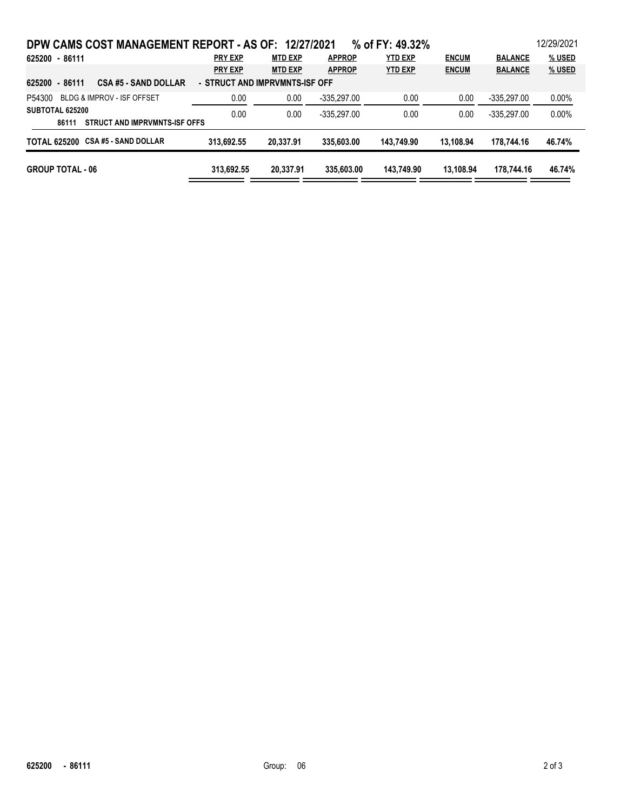| DPW CAMS COST MANAGEMENT REPORT - AS OF: 12/27/2021 |                                |                |               | % of FY: 49.32% |              |                | 12/29/2021 |
|-----------------------------------------------------|--------------------------------|----------------|---------------|-----------------|--------------|----------------|------------|
| 625200 - 86111                                      | <b>PRY EXP</b>                 | <b>MTD EXP</b> | <b>APPROP</b> | <b>YTD EXP</b>  | <b>ENCUM</b> | <b>BALANCE</b> | % USED     |
|                                                     | <b>PRY EXP</b>                 | <b>MTD EXP</b> | <b>APPROP</b> | <b>YTD EXP</b>  | <b>ENCUM</b> | <b>BALANCE</b> | % USED     |
| 625200 - 86111<br><b>CSA #5 - SAND DOLLAR</b>       | - STRUCT AND IMPRVMNTS-ISF OFF |                |               |                 |              |                |            |
| <b>BLDG &amp; IMPROV - ISF OFFSET</b><br>P54300     | 0.00                           | 0.00           | $-335,297.00$ | 0.00            | 0.00         | $-335.297.00$  | $0.00\%$   |
| SUBTOTAL 625200                                     | 0.00                           | 0.00           | $-335.297.00$ | 0.00            | 0.00         | $-335.297.00$  | $0.00\%$   |
| STRUCT AND IMPRVMNTS-ISF OFFS<br>86111              |                                |                |               |                 |              |                |            |
| TOTAL 625200 CSA #5 - SAND DOLLAR                   | 313.692.55                     | 20.337.91      | 335,603,00    | 143.749.90      | 13.108.94    | 178.744.16     | 46.74%     |
| <b>GROUP TOTAL - 06</b>                             | 313.692.55                     | 20.337.91      | 335,603,00    | 143.749.90      | 13.108.94    | 178.744.16     | 46.74%     |